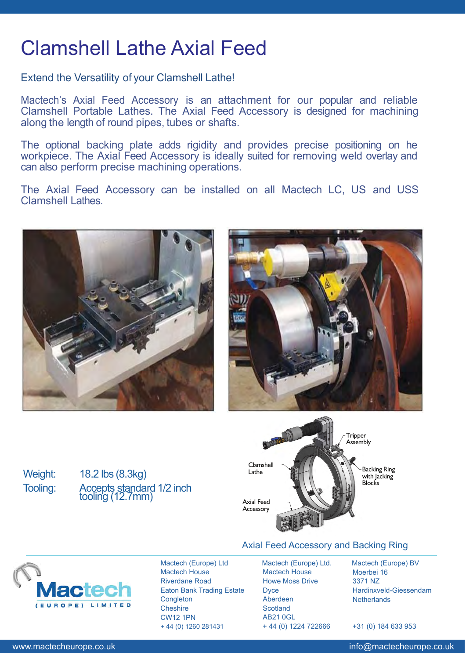## Clamshell Lathe Axial Feed

Extend the Versatility of your Clamshell Lathe!

Mactech's Axial Feed Accessory is an attachment for our popular and reliable Clamshell Portable Lathes. The Axial Feed Accessory is designed for machining along the length of round pipes, tubes or shafts.

The optional backing plate adds rigidity and provides precise positioning on he workpiece. The Axial Feed Accessory is ideally suited for removing weld overlay and can also perform precise machining operations.

The Axial Feed Accessory can be installed on all Mactech LC, US and USS Clamshell Lathes.





Weight: 18.2 lbs (8.3kg) Tooling: Accepts standard 1/2 inch tooling (12.7mm)



## Axial Feed Accessory and Backing Ring



Mactech (Europe) Ltd Mactech House Riverdane Road Eaton Bank Trading Estate **Congleton Cheshire** CW12 1PN + 44 (0) 1260 281431

Mactech (Europe) Ltd. Mactech House Howe Moss Drive **Dyce** Aberdeen **Scotland** AB21 0GL + 44 (0) 1224 722666

Mactech (Europe) BV Moerbei 16 3371 NZ Hardinxveld-Giessendam **Netherlands** 

+31 (0) 184 633 953